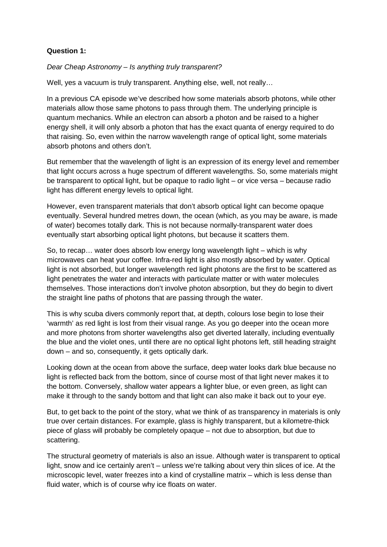## **Question 1:**

Dear Cheap Astronomy – Is anything truly transparent?

Well, yes a vacuum is truly transparent. Anything else, well, not really...

In a previous CA episode we've described how some materials absorb photons, while other materials allow those same photons to pass through them. The underlying principle is quantum mechanics. While an electron can absorb a photon and be raised to a higher energy shell, it will only absorb a photon that has the exact quanta of energy required to do that raising. So, even within the narrow wavelength range of optical light, some materials absorb photons and others don't.

But remember that the wavelength of light is an expression of its energy level and remember that light occurs across a huge spectrum of different wavelengths. So, some materials might be transparent to optical light, but be opaque to radio light – or vice versa – because radio light has different energy levels to optical light.

However, even transparent materials that don't absorb optical light can become opaque eventually. Several hundred metres down, the ocean (which, as you may be aware, is made of water) becomes totally dark. This is not because normally-transparent water does eventually start absorbing optical light photons, but because it scatters them.

So, to recap… water does absorb low energy long wavelength light – which is why microwaves can heat your coffee. Infra-red light is also mostly absorbed by water. Optical light is not absorbed, but longer wavelength red light photons are the first to be scattered as light penetrates the water and interacts with particulate matter or with water molecules themselves. Those interactions don't involve photon absorption, but they do begin to divert the straight line paths of photons that are passing through the water.

This is why scuba divers commonly report that, at depth, colours lose begin to lose their 'warmth' as red light is lost from their visual range. As you go deeper into the ocean more and more photons from shorter wavelengths also get diverted laterally, including eventually the blue and the violet ones, until there are no optical light photons left, still heading straight down – and so, consequently, it gets optically dark.

Looking down at the ocean from above the surface, deep water looks dark blue because no light is reflected back from the bottom, since of course most of that light never makes it to the bottom. Conversely, shallow water appears a lighter blue, or even green, as light can make it through to the sandy bottom and that light can also make it back out to your eye.

But, to get back to the point of the story, what we think of as transparency in materials is only true over certain distances. For example, glass is highly transparent, but a kilometre-thick piece of glass will probably be completely opaque – not due to absorption, but due to scattering.

The structural geometry of materials is also an issue. Although water is transparent to optical light, snow and ice certainly aren't – unless we're talking about very thin slices of ice. At the microscopic level, water freezes into a kind of crystalline matrix – which is less dense than fluid water, which is of course why ice floats on water.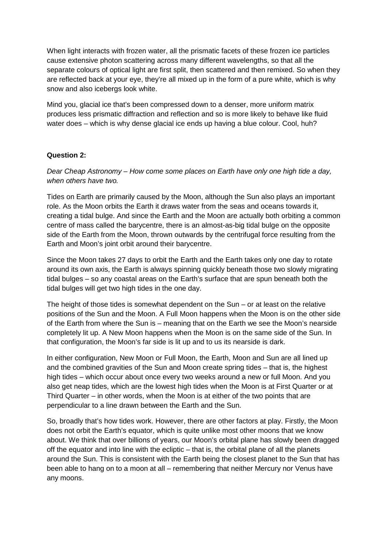When light interacts with frozen water, all the prismatic facets of these frozen ice particles cause extensive photon scattering across many different wavelengths, so that all the separate colours of optical light are first split, then scattered and then remixed. So when they are reflected back at your eye, they're all mixed up in the form of a pure white, which is why snow and also icebergs look white.

Mind you, glacial ice that's been compressed down to a denser, more uniform matrix produces less prismatic diffraction and reflection and so is more likely to behave like fluid water does – which is why dense glacial ice ends up having a blue colour. Cool, huh?

## **Question 2:**

Dear Cheap Astronomy – How come some places on Earth have only one high tide a day, when others have two.

Tides on Earth are primarily caused by the Moon, although the Sun also plays an important role. As the Moon orbits the Earth it draws water from the seas and oceans towards it, creating a tidal bulge. And since the Earth and the Moon are actually both orbiting a common centre of mass called the barycentre, there is an almost-as-big tidal bulge on the opposite side of the Earth from the Moon, thrown outwards by the centrifugal force resulting from the Earth and Moon's joint orbit around their barycentre.

Since the Moon takes 27 days to orbit the Earth and the Earth takes only one day to rotate around its own axis, the Earth is always spinning quickly beneath those two slowly migrating tidal bulges – so any coastal areas on the Earth's surface that are spun beneath both the tidal bulges will get two high tides in the one day.

The height of those tides is somewhat dependent on the Sun – or at least on the relative positions of the Sun and the Moon. A Full Moon happens when the Moon is on the other side of the Earth from where the Sun is – meaning that on the Earth we see the Moon's nearside completely lit up. A New Moon happens when the Moon is on the same side of the Sun. In that configuration, the Moon's far side is lit up and to us its nearside is dark.

In either configuration, New Moon or Full Moon, the Earth, Moon and Sun are all lined up and the combined gravities of the Sun and Moon create spring tides – that is, the highest high tides – which occur about once every two weeks around a new or full Moon. And you also get neap tides, which are the lowest high tides when the Moon is at First Quarter or at Third Quarter – in other words, when the Moon is at either of the two points that are perpendicular to a line drawn between the Earth and the Sun.

So, broadly that's how tides work. However, there are other factors at play. Firstly, the Moon does not orbit the Earth's equator, which is quite unlike most other moons that we know about. We think that over billions of years, our Moon's orbital plane has slowly been dragged off the equator and into line with the ecliptic – that is, the orbital plane of all the planets around the Sun. This is consistent with the Earth being the closest planet to the Sun that has been able to hang on to a moon at all – remembering that neither Mercury nor Venus have any moons.